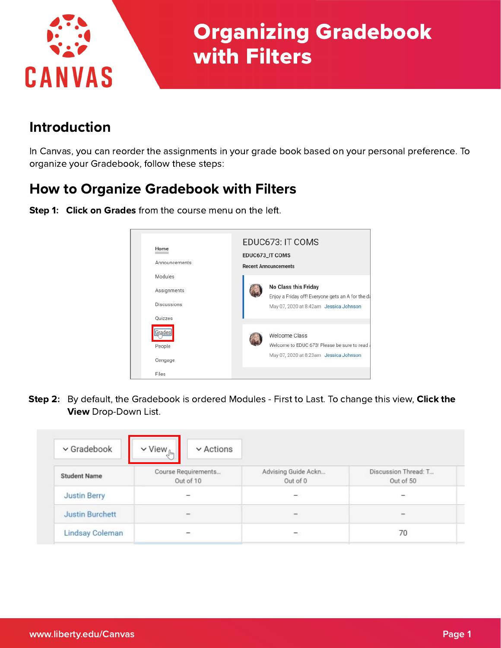

# Organizing Gradebook with Filters

## Introduction

In Canvas, you can reorder the assignments in your grade book based on your personal preference. To organize your Gradebook, follow these steps:

# How to Organize Gradebook with Filters



Step 1: Click on Grades from the course menu on the left.

Step 2: By default, the Gradebook is ordered Modules - First to Last. To change this view, Click the View Drop-Down List.

| $\vee$ Gradebook       | $\vee$ Actions<br>$\vee$ View $_{\text{lim}}$ |                                 |                                   |
|------------------------|-----------------------------------------------|---------------------------------|-----------------------------------|
| <b>Student Name</b>    | Course Requirements<br>Out of 10              | Advising Guide Ackn<br>Out of 0 | Discussion Thread: T<br>Out of 50 |
| <b>Justin Berry</b>    |                                               | -                               |                                   |
| <b>Justin Burchett</b> | $\frac{1}{2}$                                 | $\equiv$                        | $\frac{1}{2}$                     |
| Lindsay Coleman        |                                               |                                 | 70                                |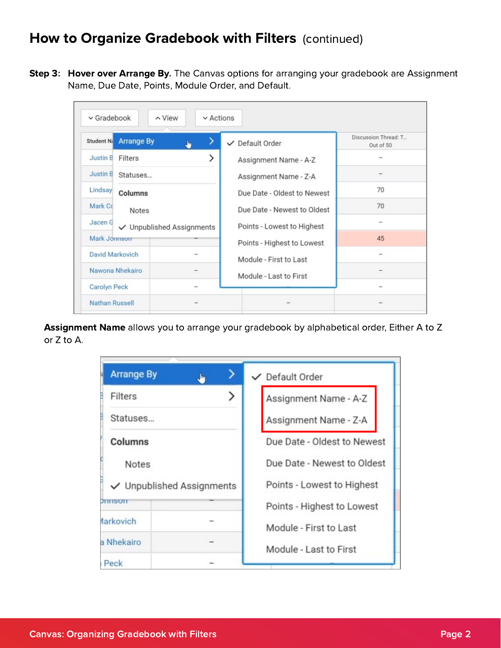#### How to Organize Gradebook with Filters (continued)

Step 3: Hover over Arrange By. The Canvas options for arranging your gradebook are Assignment Name, Due Date, Points, Module Order, and Default.

| $\vee$ Gradebook      | $\sim$ View               | $\vee$ Actions |                             |                                   |
|-----------------------|---------------------------|----------------|-----------------------------|-----------------------------------|
| Student Na            | <b>Arrange By</b>         | ↗<br>ه         | ✓ Default Order             | Discussion Thread: T<br>Out of 50 |
| Justin B              | Filters                   |                | Assignment Name - A-Z       |                                   |
| <b>Justin B</b>       | Statuses                  |                | Assignment Name - Z-A       |                                   |
| Lindsay               | Columns                   |                | Due Date - Oldest to Newest | 70                                |
| Mark Co               | Notes                     |                | Due Date - Newest to Oldest | 70                                |
| Jacen G               | ✓ Unpublished Assignments |                | Points - Lowest to Highest  |                                   |
| Mark Jonnson          |                           |                | Points - Highest to Lowest  | 45                                |
| David Markovich       |                           |                | Module - First to Last      |                                   |
|                       | Nawona Nhekairo           |                | Module - Last to First      |                                   |
| Carolyn Peck          |                           |                |                             |                                   |
| <b>Nathan Russell</b> |                           |                |                             |                                   |

Assignment Name allows you to arrange your gradebook by alphabetical order, Either A to Z or Z to A.

| <b>Arrange By</b>         | الغال | $\checkmark$ Default Order  |
|---------------------------|-------|-----------------------------|
| Filters<br>B              |       | Assignment Name - A-Z       |
| Statuses                  |       | Assignment Name - Z-A       |
| Columns                   |       | Due Date - Oldest to Newest |
| <b>Notes</b>              |       | Due Date - Newest to Oldest |
| ✓ Unpublished Assignments |       | Points - Lowest to Highest  |
| <b>Chain Robert</b>       |       | Points - Highest to Lowest  |
| <b>Aarkovich</b>          |       | Module - First to Last      |
| a Nhekairo                |       | Module - Last to First      |
| Peck                      |       |                             |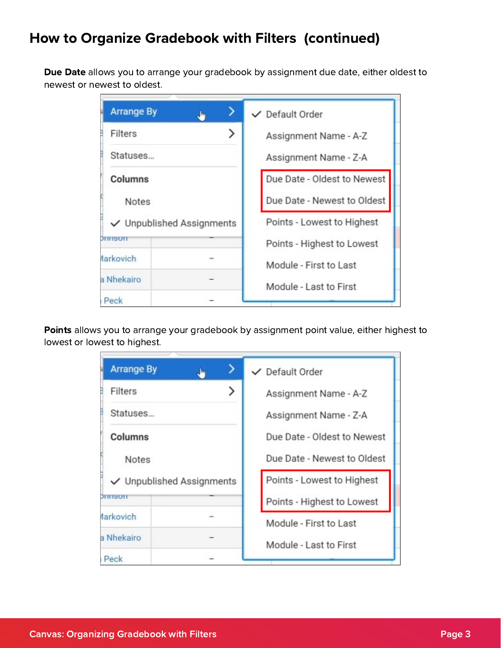# How to Organize Gradebook with Filters (continued)

Due Date allows you to arrange your gradebook by assignment due date, either oldest to newest or newest to oldest.

| <b>Arrange By</b> | , In                           | $\vee$ Default Order        |
|-------------------|--------------------------------|-----------------------------|
| Filters           |                                | Assignment Name - A-Z       |
| Statuses          |                                | Assignment Name - Z-A       |
| Columns           |                                | Due Date - Oldest to Newest |
| <b>Notes</b>      |                                | Due Date - Newest to Oldest |
|                   | $\vee$ Unpublished Assignments | Points - Lowest to Highest  |
| Cimin Atelia      |                                | Points - Highest to Lowest  |
| <b>Aarkovich</b>  |                                | Module - First to Last      |
| a Nhekairo        |                                | Module - Last to First      |
| Peck              |                                |                             |

Points allows you to arrange your gradebook by assignment point value, either highest to lowest or lowest to highest.

| <b>Arrange By</b>              | رتال | $\vee$ Default Order        |
|--------------------------------|------|-----------------------------|
| Filters                        |      | Assignment Name - A-Z       |
| Statuses                       |      | Assignment Name - Z-A       |
| Columns                        |      | Due Date - Oldest to Newest |
| <b>Notes</b>                   |      | Due Date - Newest to Oldest |
| $\vee$ Unpublished Assignments |      | Points - Lowest to Highest  |
| an massacr                     |      | Points - Highest to Lowest  |
| <b>Aarkovich</b>               |      | Module - First to Last      |
| a Nhekairo                     |      | Module - Last to First      |
| Peck                           |      |                             |